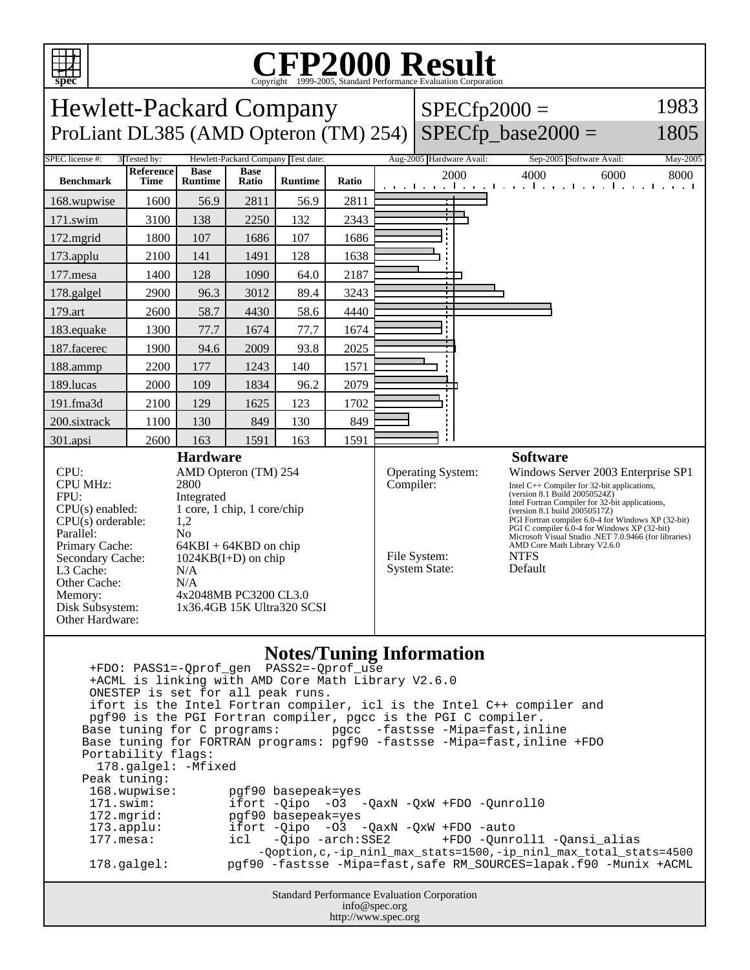

## C<sub>opyright</sub> ©1999-2005, Standard Performance Evaluation Corporation

Hewlett-Packard Company ProLiant DL385 (AMD Opteron (TM)  $254$ ) SPECfp\_base2000 =  $SPECfp2000 =$ 1983 1805 SPEC license #: 3 Tested by: Hewlett-Packard Company Test date: Aug-2005 Hardware Avail: Sep-2005 Software Avail: May-2005 **Benchmark Reference Time Base Runtime Base Ratio Runtime Ratio** 2000 4000 6000 8000 168.wupwise 1600 56.9 2811 56.9 2811 171.swim | 3100 | 138 | 2250 | 132 | 2343 172.mgrid | 1800 | 107 | 1686 | 107 | 1686 173.applu | 2100 | 141 | 1491 | 128 | 1638 177.mesa | 1400 | 128 | 1090 | 64.0 | 2187 178.galgel | 2900 | 96.3 | 3012 | 89.4 | 3243 179.art | 2600 | 58.7 | 4430 | 58.6 | 4440 183.equake 1300 77.7 1674 77.7 1674 187.facerec | 1900 | 94.6 | 2009 | 93.8 | 2025 188.ammp | 2200 | 177 | 1243 | 140 | 1571 189.lucas | 2000 | 109 | 1834 | 96.2 | 2079 191.fma3d | 2100 | 129 | 1625 | 123 | 1702 200.sixtrack 1100 130 849 130 849 301.apsi 2600 163 1591 163 1591 **Hardware** CPU: AMD Opteron (TM) 254 CPU MHz: 2800 FPU: Integrated  $CPU(s)$  enabled:  $1$  core, 1 chip, 1 core/chip  $CPU(s)$  orderable:  $1,2$  $CPU(s)$  orderable: Parallel: No<br>Primary Cache: 64F  $64KBI + 64KBD$  on chip Secondary Cache: 1024KB(I+D) on chip L3 Cache: N/A Other Cache: N/A Memory: 4x2048MB PC3200 CL3.0 Disk Subsystem: 1x36.4GB 15K Ultra320 SCSI Other Hardware: **Software** Operating System: Windows Server 2003 Enterprise SP1 Compiler: Intel C++ Compiler for 32-bit applications, (version 8.1 Build 20050524Z) Intel Fortran Compiler for 32-bit applications, (version 8.1 build 20050517Z) PGI Fortran compiler 6.0-4 for Windows XP (32-bit) PGI C compiler 6.0-4 for Windows XP (32-bit) Microsoft Visual Studio .NET 7.0.9466 (for libraries) AMD Core Math Library V2.6.0 File System: NTFS System State: Default

## **Notes/Tuning Information**

Standard Performance Evaluation Corporation info@spec.org +FDO: PASS1=-Qprof\_gen PASS2=-Qprof\_use +ACML is linking with AMD Core Math Library V2.6.0 ONESTEP is set for all peak runs. ifort is the Intel Fortran compiler, icl is the Intel C++ compiler and pgf90 is the PGI Fortran compiler, pgcc is the PGI C compiler. Base tuning for C programs: pgcc -fastsse -Mipa=fast,inline Base tuning for FORTRAN programs: pgf90 -fastsse -Mipa=fast,inline +FDO Portability flags: 178.galgel: -Mfixed Peak tuning: 168.wupwise: pgf90 basepeak=yes 171.swim: ifort -Qipo -O3 -QaxN -QxW +FDO -Qunroll0 172.mgrid: pgf90 basepeak=yes<br>173.applu: ifort -Oipo -O3 173.applu: ifort -Qipo -O3 -QaxN -QxW +FDO -auto<br>177.mesa: icl -Qipo -arch:SSE2 +FDO -Qunr 177.mesa: icl -Qipo -arch:SSE2 +FDO -Qunroll1 -Qansi\_alias -Qoption,c,-ip\_ninl\_max\_stats=1500,-ip\_ninl\_max\_total\_stats=4500 178.galgel: pgf90 -fastsse -Mipa=fast,safe RM\_SOURCES=lapak.f90 -Munix +ACML

http://www.spec.org